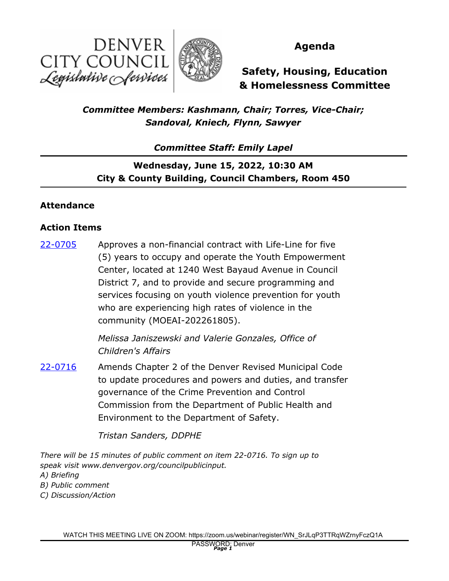



## **Agenda**

**Safety, Housing, Education & Homelessness Committee**

*Committee Members: Kashmann, Chair; Torres, Vice-Chair; Sandoval, Kniech, Flynn, Sawyer*

*Committee Staff: Emily Lapel*

**Wednesday, June 15, 2022, 10:30 AM City & County Building, Council Chambers, Room 450**

### **Attendance**

#### **Action Items**

Approves a non-financial contract with Life-Line for five (5) years to occupy and operate the Youth Empowerment Center, located at 1240 West Bayaud Avenue in Council District 7, and to provide and secure programming and services focusing on youth violence prevention for youth who are experiencing high rates of violence in the community (MOEAI-202261805). [22-0705](http://denver.legistar.com/gateway.aspx?m=l&id=/matter.aspx?key=21772)

> *Melissa Janiszewski and Valerie Gonzales, Office of Children's Affairs*

Amends Chapter 2 of the Denver Revised Municipal Code to update procedures and powers and duties, and transfer governance of the Crime Prevention and Control Commission from the Department of Public Health and Environment to the Department of Safety. [22-0716](http://denver.legistar.com/gateway.aspx?m=l&id=/matter.aspx?key=21783)

*Tristan Sanders, DDPHE*

*There will be 15 minutes of public comment on item 22-0716. To sign up to speak visit www.denvergov.org/councilpublicinput.*

- *A) Briefing*
- *B) Public comment*
- *C) Discussion/Action*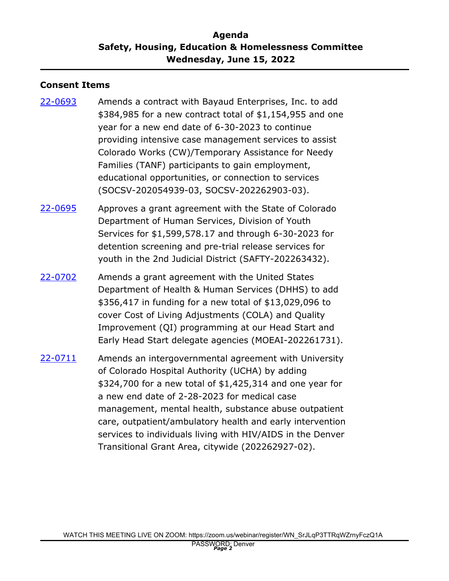## **Agenda Safety, Housing, Education & Homelessness Committee Wednesday, June 15, 2022**

### **Consent Items**

- Amends a contract with Bayaud Enterprises, Inc. to add \$384,985 for a new contract total of \$1,154,955 and one year for a new end date of 6-30-2023 to continue providing intensive case management services to assist Colorado Works (CW)/Temporary Assistance for Needy Families (TANF) participants to gain employment, educational opportunities, or connection to services (SOCSV-202054939-03, SOCSV-202262903-03). [22-0693](http://denver.legistar.com/gateway.aspx?m=l&id=/matter.aspx?key=21760)
- Approves a grant agreement with the State of Colorado Department of Human Services, Division of Youth Services for \$1,599,578.17 and through 6-30-2023 for detention screening and pre-trial release services for youth in the 2nd Judicial District (SAFTY-202263432). [22-0695](http://denver.legistar.com/gateway.aspx?m=l&id=/matter.aspx?key=21762)
- Amends a grant agreement with the United States Department of Health & Human Services (DHHS) to add \$356,417 in funding for a new total of \$13,029,096 to cover Cost of Living Adjustments (COLA) and Quality Improvement (QI) programming at our Head Start and Early Head Start delegate agencies (MOEAI-202261731). [22-0702](http://denver.legistar.com/gateway.aspx?m=l&id=/matter.aspx?key=21769)
- Amends an intergovernmental agreement with University of Colorado Hospital Authority (UCHA) by adding \$324,700 for a new total of \$1,425,314 and one year for a new end date of 2-28-2023 for medical case management, mental health, substance abuse outpatient care, outpatient/ambulatory health and early intervention services to individuals living with HIV/AIDS in the Denver Transitional Grant Area, citywide (202262927-02). [22-0711](http://denver.legistar.com/gateway.aspx?m=l&id=/matter.aspx?key=21778)